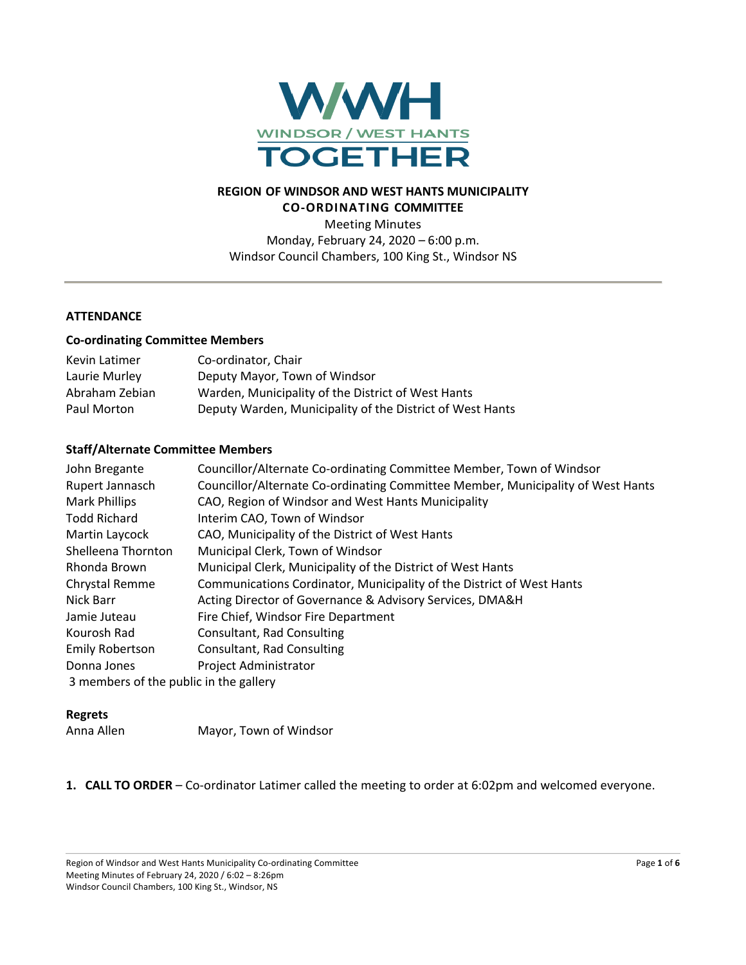

# **REGION OF WINDSOR AND WEST HANTS MUNICIPALITY CO-ORDINATING COMMITTEE**

Meeting Minutes Monday, February 24, 2020 – 6:00 p.m. Windsor Council Chambers, 100 King St., Windsor NS

# **ATTENDANCE**

### **Co-ordinating Committee Members**

| Kevin Latimer  | Co-ordinator, Chair                                       |
|----------------|-----------------------------------------------------------|
| Laurie Murley  | Deputy Mayor, Town of Windsor                             |
| Abraham Zebian | Warden, Municipality of the District of West Hants        |
| Paul Morton    | Deputy Warden, Municipality of the District of West Hants |

### **Staff/Alternate Committee Members**

| John Bregante                          | Councillor/Alternate Co-ordinating Committee Member, Town of Windsor            |
|----------------------------------------|---------------------------------------------------------------------------------|
| Rupert Jannasch                        | Councillor/Alternate Co-ordinating Committee Member, Municipality of West Hants |
| <b>Mark Phillips</b>                   | CAO, Region of Windsor and West Hants Municipality                              |
| <b>Todd Richard</b>                    | Interim CAO, Town of Windsor                                                    |
| Martin Laycock                         | CAO, Municipality of the District of West Hants                                 |
| Shelleena Thornton                     | Municipal Clerk, Town of Windsor                                                |
| Rhonda Brown                           | Municipal Clerk, Municipality of the District of West Hants                     |
| Chrystal Remme                         | Communications Cordinator, Municipality of the District of West Hants           |
| Nick Barr                              | Acting Director of Governance & Advisory Services, DMA&H                        |
| Jamie Juteau                           | Fire Chief, Windsor Fire Department                                             |
| Kourosh Rad                            | Consultant, Rad Consulting                                                      |
| <b>Emily Robertson</b>                 | Consultant, Rad Consulting                                                      |
| Donna Jones                            | <b>Project Administrator</b>                                                    |
| 3 members of the public in the gallery |                                                                                 |

#### **Regrets**

| Anna Allen | Mayor, Town of Windsor |
|------------|------------------------|
|            |                        |

**1. CALL TO ORDER** – Co-ordinator Latimer called the meeting to order at 6:02pm and welcomed everyone.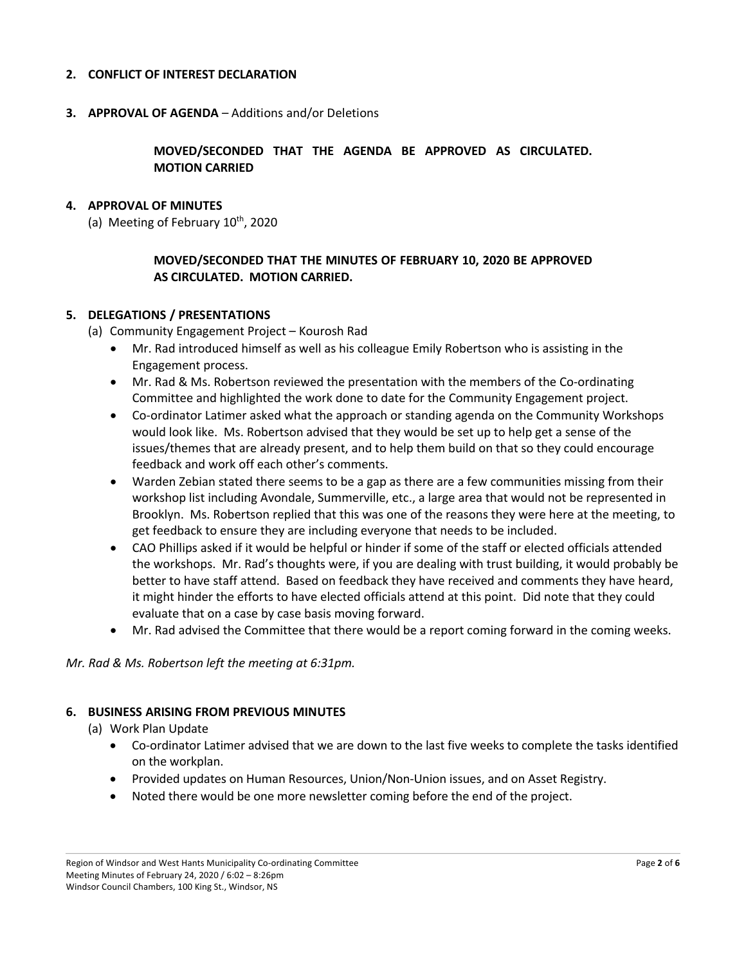### **2. CONFLICT OF INTEREST DECLARATION**

**3. APPROVAL OF AGENDA** – Additions and/or Deletions

**MOVED/SECONDED THAT THE AGENDA BE APPROVED AS CIRCULATED. MOTION CARRIED**

#### **4. APPROVAL OF MINUTES**

(a) Meeting of February  $10^{th}$ , 2020

# **MOVED/SECONDED THAT THE MINUTES OF FEBRUARY 10, 2020 BE APPROVED AS CIRCULATED. MOTION CARRIED.**

### **5. DELEGATIONS / PRESENTATIONS**

- (a) Community Engagement Project Kourosh Rad
	- Mr. Rad introduced himself as well as his colleague Emily Robertson who is assisting in the Engagement process.
	- Mr. Rad & Ms. Robertson reviewed the presentation with the members of the Co-ordinating Committee and highlighted the work done to date for the Community Engagement project.
	- Co-ordinator Latimer asked what the approach or standing agenda on the Community Workshops would look like. Ms. Robertson advised that they would be set up to help get a sense of the issues/themes that are already present, and to help them build on that so they could encourage feedback and work off each other's comments.
	- Warden Zebian stated there seems to be a gap as there are a few communities missing from their workshop list including Avondale, Summerville, etc., a large area that would not be represented in Brooklyn. Ms. Robertson replied that this was one of the reasons they were here at the meeting, to get feedback to ensure they are including everyone that needs to be included.
	- CAO Phillips asked if it would be helpful or hinder if some of the staff or elected officials attended the workshops. Mr. Rad's thoughts were, if you are dealing with trust building, it would probably be better to have staff attend. Based on feedback they have received and comments they have heard, it might hinder the efforts to have elected officials attend at this point. Did note that they could evaluate that on a case by case basis moving forward.
	- Mr. Rad advised the Committee that there would be a report coming forward in the coming weeks.

*Mr. Rad & Ms. Robertson left the meeting at 6:31pm.*

#### **6. BUSINESS ARISING FROM PREVIOUS MINUTES**

- (a) Work Plan Update
	- Co-ordinator Latimer advised that we are down to the last five weeks to complete the tasks identified on the workplan.
	- Provided updates on Human Resources, Union/Non-Union issues, and on Asset Registry.
	- Noted there would be one more newsletter coming before the end of the project.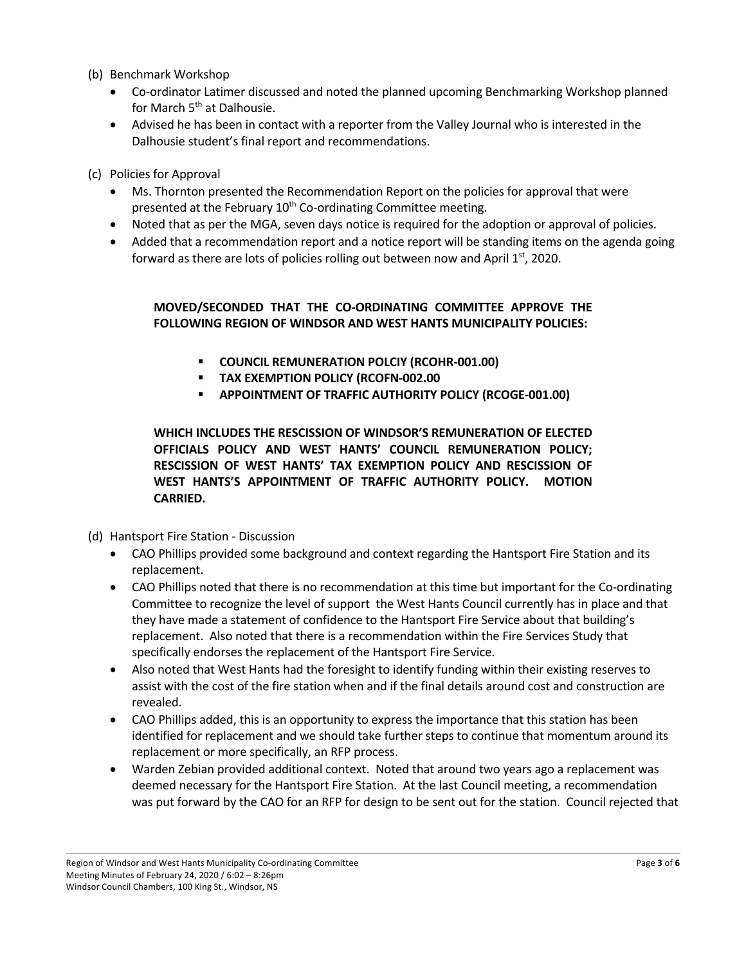- (b) Benchmark Workshop
	- Co-ordinator Latimer discussed and noted the planned upcoming Benchmarking Workshop planned for March 5<sup>th</sup> at Dalhousie.
	- Advised he has been in contact with a reporter from the Valley Journal who is interested in the Dalhousie student's final report and recommendations.

(c) Policies for Approval

- Ms. Thornton presented the Recommendation Report on the policies for approval that were presented at the February 10<sup>th</sup> Co-ordinating Committee meeting.
- Noted that as per the MGA, seven days notice is required for the adoption or approval of policies.
- Added that a recommendation report and a notice report will be standing items on the agenda going forward as there are lots of policies rolling out between now and April  $1<sup>st</sup>$ , 2020.

# **MOVED/SECONDED THAT THE CO-ORDINATING COMMITTEE APPROVE THE FOLLOWING REGION OF WINDSOR AND WEST HANTS MUNICIPALITY POLICIES:**

- § **COUNCIL REMUNERATION POLCIY (RCOHR-001.00)**
- § **TAX EXEMPTION POLICY (RCOFN-002.00**
- § **APPOINTMENT OF TRAFFIC AUTHORITY POLICY (RCOGE-001.00)**

**WHICH INCLUDES THE RESCISSION OF WINDSOR'S REMUNERATION OF ELECTED OFFICIALS POLICY AND WEST HANTS' COUNCIL REMUNERATION POLICY; RESCISSION OF WEST HANTS' TAX EXEMPTION POLICY AND RESCISSION OF WEST HANTS'S APPOINTMENT OF TRAFFIC AUTHORITY POLICY. MOTION CARRIED.**

(d) Hantsport Fire Station - Discussion

- CAO Phillips provided some background and context regarding the Hantsport Fire Station and its replacement.
- CAO Phillips noted that there is no recommendation at this time but important for the Co-ordinating Committee to recognize the level of support the West Hants Council currently has in place and that they have made a statement of confidence to the Hantsport Fire Service about that building's replacement. Also noted that there is a recommendation within the Fire Services Study that specifically endorses the replacement of the Hantsport Fire Service.
- Also noted that West Hants had the foresight to identify funding within their existing reserves to assist with the cost of the fire station when and if the final details around cost and construction are revealed.
- CAO Phillips added, this is an opportunity to express the importance that this station has been identified for replacement and we should take further steps to continue that momentum around its replacement or more specifically, an RFP process.
- Warden Zebian provided additional context. Noted that around two years ago a replacement was deemed necessary for the Hantsport Fire Station. At the last Council meeting, a recommendation was put forward by the CAO for an RFP for design to be sent out for the station. Council rejected that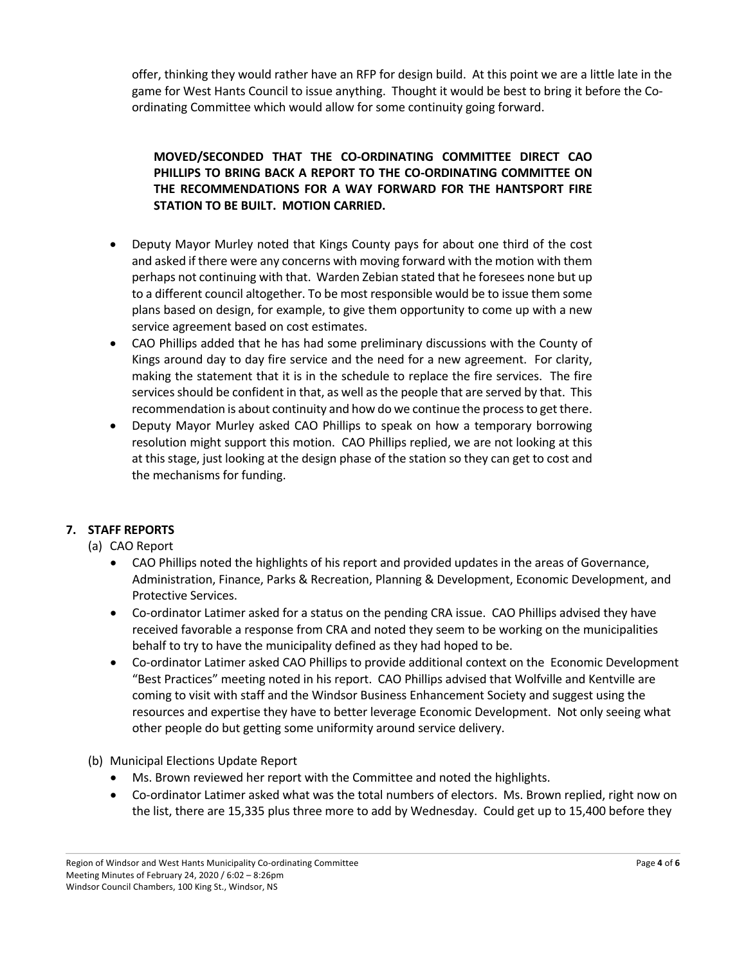offer, thinking they would rather have an RFP for design build. At this point we are a little late in the game for West Hants Council to issue anything. Thought it would be best to bring it before the Coordinating Committee which would allow for some continuity going forward.

# **MOVED/SECONDED THAT THE CO-ORDINATING COMMITTEE DIRECT CAO PHILLIPS TO BRING BACK A REPORT TO THE CO-ORDINATING COMMITTEE ON THE RECOMMENDATIONS FOR A WAY FORWARD FOR THE HANTSPORT FIRE STATION TO BE BUILT. MOTION CARRIED.**

- Deputy Mayor Murley noted that Kings County pays for about one third of the cost and asked if there were any concerns with moving forward with the motion with them perhaps not continuing with that. Warden Zebian stated that he foresees none but up to a different council altogether. To be most responsible would be to issue them some plans based on design, for example, to give them opportunity to come up with a new service agreement based on cost estimates.
- CAO Phillips added that he has had some preliminary discussions with the County of Kings around day to day fire service and the need for a new agreement. For clarity, making the statement that it is in the schedule to replace the fire services. The fire services should be confident in that, as well as the people that are served by that. This recommendation is about continuity and how do we continue the process to get there.
- Deputy Mayor Murley asked CAO Phillips to speak on how a temporary borrowing resolution might support this motion. CAO Phillips replied, we are not looking at this at this stage, just looking at the design phase of the station so they can get to cost and the mechanisms for funding.

# **7. STAFF REPORTS**

# (a) CAO Report

- CAO Phillips noted the highlights of his report and provided updates in the areas of Governance, Administration, Finance, Parks & Recreation, Planning & Development, Economic Development, and Protective Services.
- Co-ordinator Latimer asked for a status on the pending CRA issue. CAO Phillips advised they have received favorable a response from CRA and noted they seem to be working on the municipalities behalf to try to have the municipality defined as they had hoped to be.
- Co-ordinator Latimer asked CAO Phillips to provide additional context on the Economic Development "Best Practices" meeting noted in his report. CAO Phillips advised that Wolfville and Kentville are coming to visit with staff and the Windsor Business Enhancement Society and suggest using the resources and expertise they have to better leverage Economic Development. Not only seeing what other people do but getting some uniformity around service delivery.

(b) Municipal Elections Update Report

- Ms. Brown reviewed her report with the Committee and noted the highlights.
- Co-ordinator Latimer asked what was the total numbers of electors. Ms. Brown replied, right now on the list, there are 15,335 plus three more to add by Wednesday. Could get up to 15,400 before they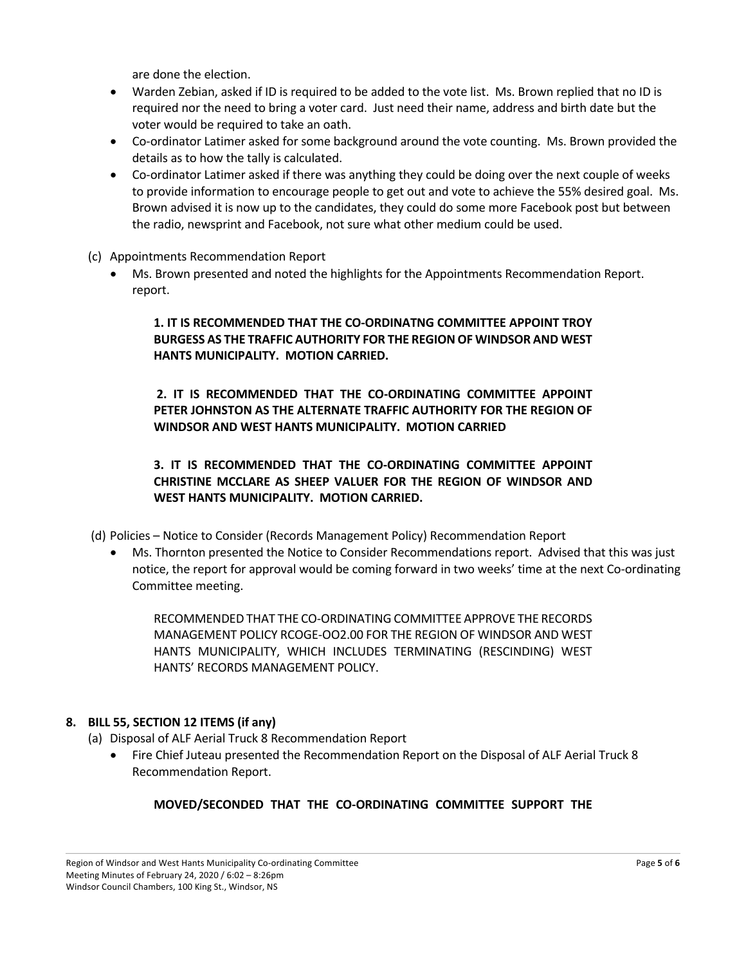are done the election.

- Warden Zebian, asked if ID is required to be added to the vote list. Ms. Brown replied that no ID is required nor the need to bring a voter card. Just need their name, address and birth date but the voter would be required to take an oath.
- Co-ordinator Latimer asked for some background around the vote counting. Ms. Brown provided the details as to how the tally is calculated.
- Co-ordinator Latimer asked if there was anything they could be doing over the next couple of weeks to provide information to encourage people to get out and vote to achieve the 55% desired goal. Ms. Brown advised it is now up to the candidates, they could do some more Facebook post but between the radio, newsprint and Facebook, not sure what other medium could be used.
- (c) Appointments Recommendation Report
	- Ms. Brown presented and noted the highlights for the Appointments Recommendation Report. report.

**1. IT IS RECOMMENDED THAT THE CO-ORDINATNG COMMITTEE APPOINT TROY BURGESS AS THE TRAFFIC AUTHORITY FOR THE REGION OF WINDSOR AND WEST HANTS MUNICIPALITY. MOTION CARRIED.**

**2. IT IS RECOMMENDED THAT THE CO-ORDINATING COMMITTEE APPOINT PETER JOHNSTON AS THE ALTERNATE TRAFFIC AUTHORITY FOR THE REGION OF WINDSOR AND WEST HANTS MUNICIPALITY. MOTION CARRIED**

**3. IT IS RECOMMENDED THAT THE CO-ORDINATING COMMITTEE APPOINT CHRISTINE MCCLARE AS SHEEP VALUER FOR THE REGION OF WINDSOR AND WEST HANTS MUNICIPALITY. MOTION CARRIED.**

(d) Policies – Notice to Consider (Records Management Policy) Recommendation Report

• Ms. Thornton presented the Notice to Consider Recommendations report. Advised that this was just notice, the report for approval would be coming forward in two weeks' time at the next Co-ordinating Committee meeting.

RECOMMENDED THAT THE CO-ORDINATING COMMITTEE APPROVE THE RECORDS MANAGEMENT POLICY RCOGE-OO2.00 FOR THE REGION OF WINDSOR AND WEST HANTS MUNICIPALITY, WHICH INCLUDES TERMINATING (RESCINDING) WEST HANTS' RECORDS MANAGEMENT POLICY.

# **8. BILL 55, SECTION 12 ITEMS (if any)**

(a) Disposal of ALF Aerial Truck 8 Recommendation Report

• Fire Chief Juteau presented the Recommendation Report on the Disposal of ALF Aerial Truck 8 Recommendation Report.

# **MOVED/SECONDED THAT THE CO-ORDINATING COMMITTEE SUPPORT THE**